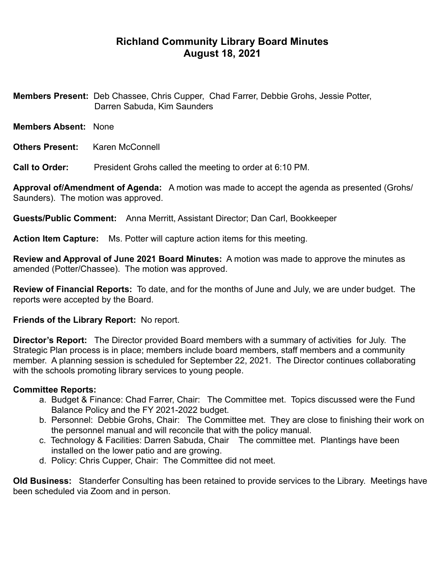## **Richland Community Library Board Minutes August 18, 2021**

**Members Present:** Deb Chassee, Chris Cupper, Chad Farrer, Debbie Grohs, Jessie Potter, Darren Sabuda, Kim Saunders

- **Members Absent:** None
- **Others Present: Karen McConnell**

**Call to Order:** President Grohs called the meeting to order at 6:10 PM.

**Approval of/Amendment of Agenda:** A motion was made to accept the agenda as presented (Grohs/ Saunders). The motion was approved.

**Guests/Public Comment:** Anna Merritt, Assistant Director; Dan Carl, Bookkeeper

**Action Item Capture:** Ms. Potter will capture action items for this meeting.

**Review and Approval of June 2021 Board Minutes:** A motion was made to approve the minutes as amended (Potter/Chassee). The motion was approved.

**Review of Financial Reports:** To date, and for the months of June and July, we are under budget. The reports were accepted by the Board.

## **Friends of the Library Report:** No report.

**Director's Report:** The Director provided Board members with a summary of activities for July. The Strategic Plan process is in place; members include board members, staff members and a community member. A planning session is scheduled for September 22, 2021. The Director continues collaborating with the schools promoting library services to young people.

## **Committee Reports:**

- a. Budget & Finance: Chad Farrer, Chair: The Committee met. Topics discussed were the Fund Balance Policy and the FY 2021-2022 budget.
- b. Personnel: Debbie Grohs, Chair: The Committee met. They are close to finishing their work on the personnel manual and will reconcile that with the policy manual.
- c. Technology & Facilities: Darren Sabuda, Chair The committee met. Plantings have been installed on the lower patio and are growing.
- d. Policy: Chris Cupper, Chair: The Committee did not meet.

**Old Business:** Standerfer Consulting has been retained to provide services to the Library. Meetings have been scheduled via Zoom and in person.